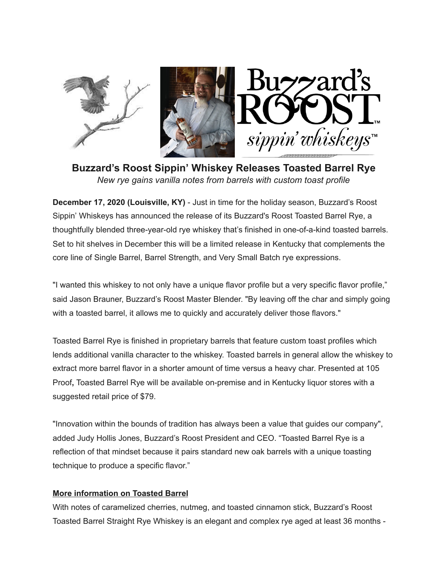

**Buzzard's Roost Sippin' Whiskey Releases Toasted Barrel Rye** *New rye gains vanilla notes from barrels with custom toast profile* 

**December 17, 2020 (Louisville, KY)** - Just in time for the holiday season, Buzzard's Roost Sippin' Whiskeys has announced the release of its Buzzard's Roost Toasted Barrel Rye, a thoughtfully blended three-year-old rye whiskey that's finished in one-of-a-kind toasted barrels. Set to hit shelves in December this will be a limited release in Kentucky that complements the core line of Single Barrel, Barrel Strength, and Very Small Batch rye expressions.

"I wanted this whiskey to not only have a unique flavor profile but a very specific flavor profile," said Jason Brauner, Buzzard's Roost Master Blender. "By leaving off the char and simply going with a toasted barrel, it allows me to quickly and accurately deliver those flavors."

Toasted Barrel Rye is finished in proprietary barrels that feature custom toast profiles which lends additional vanilla character to the whiskey. Toasted barrels in general allow the whiskey to extract more barrel flavor in a shorter amount of time versus a heavy char. Presented at 105 Proof**,** Toasted Barrel Rye will be available on-premise and in Kentucky liquor stores with a suggested retail price of \$79.

"Innovation within the bounds of tradition has always been a value that guides our company", added Judy Hollis Jones, Buzzard's Roost President and CEO. "Toasted Barrel Rye is a reflection of that mindset because it pairs standard new oak barrels with a unique toasting technique to produce a specific flavor."

## **More information on Toasted Barrel**

With notes of caramelized cherries, nutmeg, and toasted cinnamon stick, Buzzard's Roost Toasted Barrel Straight Rye Whiskey is an elegant and complex rye aged at least 36 months -